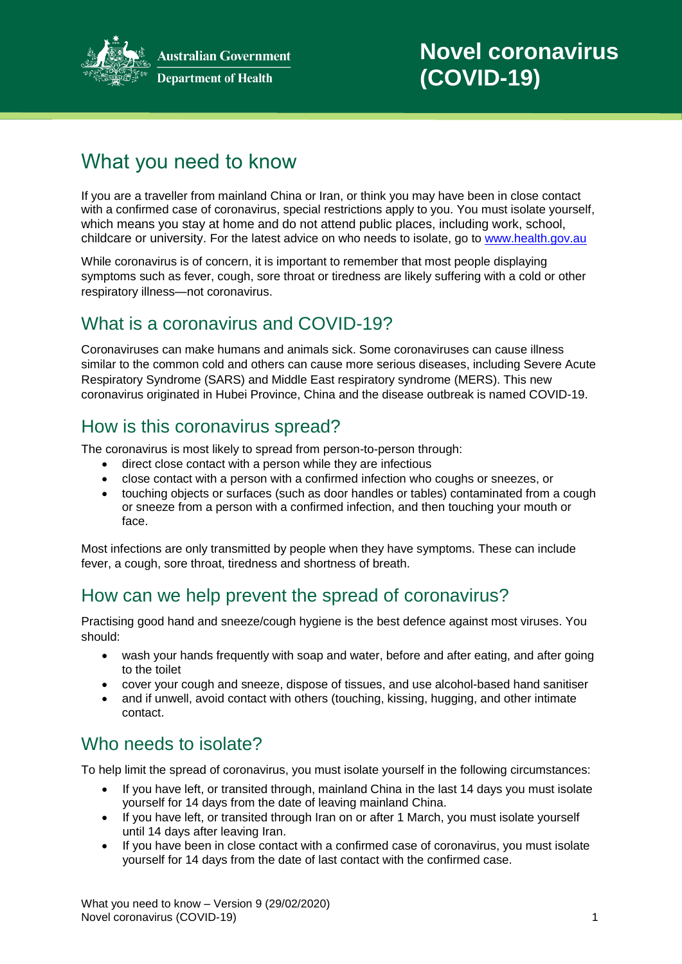

**Australian Government Department of Health** 

# What you need to know

If you are a traveller from mainland China or Iran, or think you may have been in close contact with a confirmed case of coronavirus, special restrictions apply to you. You must isolate yourself, which means you stay at home and do not attend public places, including work, school, childcare or university. For the latest advice on who needs to isolate, go to [www.health.gov.au](http://www.health.gov.au/)

While coronavirus is of concern, it is important to remember that most people displaying symptoms such as fever, cough, sore throat or tiredness are likely suffering with a cold or other respiratory illness—not coronavirus.

# What is a coronavirus and COVID-19?

Coronaviruses can make humans and animals sick. Some coronaviruses can cause illness similar to the common cold and others can cause more serious diseases, including Severe Acute Respiratory Syndrome (SARS) and Middle East respiratory syndrome (MERS). This new coronavirus originated in Hubei Province, China and the disease outbreak is named COVID-19.

# How is this coronavirus spread?

The coronavirus is most likely to spread from person-to-person through:

- direct close contact with a person while they are infectious
- close contact with a person with a confirmed infection who coughs or sneezes, or
- touching objects or surfaces (such as door handles or tables) contaminated from a cough or sneeze from a person with a confirmed infection, and then touching your mouth or face.

Most infections are only transmitted by people when they have symptoms. These can include fever, a cough, sore throat, tiredness and shortness of breath.

# How can we help prevent the spread of coronavirus?

Practising good hand and sneeze/cough hygiene is the best defence against most viruses. You should:

- wash your hands frequently with soap and water, before and after eating, and after going to the toilet
- cover your cough and sneeze, dispose of tissues, and use alcohol-based hand sanitiser
- and if unwell, avoid contact with others (touching, kissing, hugging, and other intimate contact.

# Who needs to isolate?

To help limit the spread of coronavirus, you must isolate yourself in the following circumstances:

- If you have left, or transited through, mainland China in the last 14 days you must isolate yourself for 14 days from the date of leaving mainland China.
- If you have left, or transited through Iran on or after 1 March, you must isolate yourself until 14 days after leaving Iran.
- If you have been in close contact with a confirmed case of coronavirus, you must isolate yourself for 14 days from the date of last contact with the confirmed case.